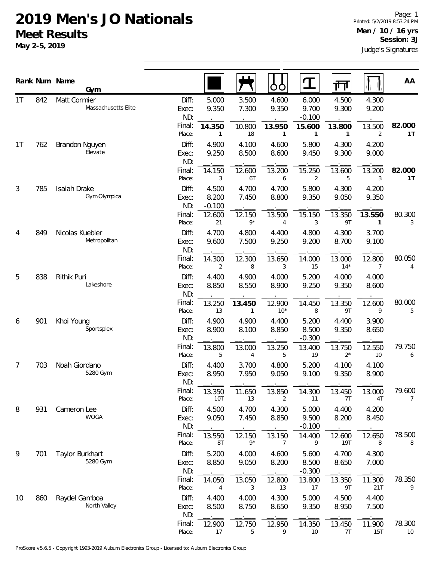## **2019 Men's JO Nationals Meet Results**

**May 2-5, 2019**

|                                  |     | Rank Num Name<br>Gym                |                                 |                            |                       | OO                       |                            | गि                              |                        | AA             |
|----------------------------------|-----|-------------------------------------|---------------------------------|----------------------------|-----------------------|--------------------------|----------------------------|---------------------------------|------------------------|----------------|
| 1 <sup>T</sup><br>1 <sup>T</sup> | 842 | Matt Cormier<br>Massachusetts Elite | Diff:<br>Exec:<br>ND:<br>Final: | 5.000<br>9.350             | 3.500<br>7.300        | 4.600<br>9.350           | 6.000<br>9.700<br>$-0.100$ | 4.500<br>9.300                  | 4.300<br>9.200         | 82.000         |
|                                  | 762 | Brandon Nguyen                      | Place:<br>Diff:                 | 14.350<br>1<br>4.900       | 10.800<br>18<br>4.100 | 13.950<br>1<br>4.600     | 15.600<br>1<br>5.800       | 13.800<br>$\mathbf{1}$<br>4.300 | 13.500<br>2<br>4.200   | 1 <sup>T</sup> |
|                                  |     | Elevate                             | Exec:<br>ND:                    | 9.250                      | 8.500                 | 8.600                    | 9.450                      | 9.300                           | 9.000                  |                |
|                                  |     |                                     | Final:<br>Place:                | 14.150<br>3                | 12.600<br>6T          | 13.200<br>6              | 15.250<br>2                | 13.600<br>5                     | 13.200<br>3            | 82.000<br>1T   |
| 3                                | 785 | Isaiah Drake<br>Gym Olympica        | Diff:<br>Exec:<br>ND:           | 4.500<br>8.200<br>$-0.100$ | 4.700<br>7.450        | 4.700<br>8.800           | 5.800<br>9.350             | 4.300<br>9.050                  | 4.200<br>9.350         |                |
|                                  |     |                                     | Final:<br>Place:                | 12.600<br>21               | 12.150<br>$9*$        | 13.500<br>$\overline{4}$ | 15.150<br>3                | 13.350<br>9T                    | 13.550<br>$\mathbf{1}$ | 80.300<br>3    |
| 4                                | 849 | Nicolas Kuebler<br>Metropolitan     | Diff:<br>Exec:<br>ND:           | 4.700<br>9.600             | 4.800<br>7.500        | 4.400<br>9.250           | 4.800<br>9.200             | 4.300<br>8.700                  | 3.700<br>9.100         |                |
|                                  |     |                                     | Final:<br>Place:                | 14.300<br>2                | 12.300<br>8           | 13.650<br>3              | 14.000<br>15               | 13.000<br>$14*$                 | 12.800<br>7            | 80.050<br>4    |
| 5                                | 838 | Rithik Puri<br>Lakeshore            | Diff:<br>Exec:<br>ND:           | 4.400<br>8.850             | 4.900<br>8.550        | 4.000<br>8.900           | 5.200<br>9.250             | 4.000<br>9.350                  | 4.000<br>8.600         |                |
|                                  |     |                                     | Final:<br>Place:                | 13.250<br>13               | 13.450<br>1           | 12.900<br>$10*$          | 14.450<br>8                | 13.350<br>9T                    | 12.600<br>9            | 80.000<br>5    |
| 6                                | 901 | Khoi Young<br>Sportsplex            | Diff:<br>Exec:<br>ND:           | 4.900<br>8.900             | 4.900<br>8.100        | 4.400<br>8.850           | 5.200<br>8.500<br>$-0.300$ | 4.400<br>9.350                  | 3.900<br>8.650         |                |
|                                  |     |                                     | Final:<br>Place:                | 13.800<br>5                | 13.000<br>4           | 13.250<br>5              | 13.400<br>19               | 13.750<br>$2^*$                 | 12.550<br>10           | 79.750<br>6    |
| 7                                | 703 | Noah Giordano<br>5280 Gym           | Diff:<br>Exec:<br>ND:           | 4.400<br>8.950             | 3.700<br>7.950        | 4.800<br>9.050           | 5.200<br>9.100             | 4.100<br>9.350                  | 4.100<br>8.900         |                |
|                                  |     |                                     | Final:<br>Place:                | 13.350<br>10T              | 11.650<br>13          | 13.850<br>2              | 14.300<br>11               | 13.450<br>7T                    | 13.000<br>4T           | 79.600<br>7    |
| 8                                | 931 | Cameron Lee<br><b>WOGA</b>          | Diff:<br>Exec:<br>ND:           | 4.500<br>9.050             | 4.700<br>7.450        | 4.300<br>8.850           | 5.000<br>9.500<br>$-0.100$ | 4.400<br>8.200                  | 4.200<br>8.450         |                |
|                                  |     |                                     | Final:<br>Place:                | 13.550<br>8T               | 12.150<br>9*          | 13.150<br>7              | 14.400<br>9                | 12.600<br><b>19T</b>            | 12.650<br>8            | 78.500<br>8    |
| 9                                | 701 | Taylor Burkhart<br>5280 Gym         | Diff:<br>Exec:<br>ND:           | 5.200<br>8.850             | 4.000<br>9.050        | 4.600<br>8.200           | 5.600<br>8.500<br>$-0.300$ | 4.700<br>8.650                  | 4.300<br>7.000         |                |
|                                  |     |                                     | Final:<br>Place:                | 14.050<br>4                | 13.050<br>3           | 12.800<br>13             | 13.800<br>17               | 13.350<br>9T                    | 11.300<br>21T          | 78.350<br>9    |
| 10                               | 860 | Raydel Gamboa<br>North Valley       | Diff:<br>Exec:<br>ND:           | 4.400<br>8.500             | 4.000<br>8.750        | 4.300<br>8.650           | 5.000<br>9.350             | 4.500<br>8.950                  | 4.400<br>7.500         |                |
|                                  |     |                                     | Final:<br>Place:                | 12.900<br>$17$             | 12.750<br>5           | 12.950<br>9              | 14.350<br>10               | 13.450<br>7T                    | 11.900<br>15T          | 78.300<br>10   |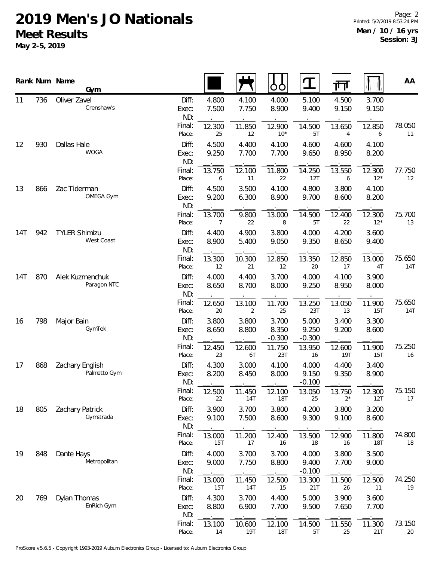## **2019 Men's JO Nationals Meet Results**

**May 2-5, 2019**

|     |     | Rank Num Name<br>Gym               |                       |                |                          | OO                         | ${\bf T}$                  | गा                   |                      | AA            |
|-----|-----|------------------------------------|-----------------------|----------------|--------------------------|----------------------------|----------------------------|----------------------|----------------------|---------------|
| 11  | 736 | Oliver Zavel<br>Crenshaw's         | Diff:<br>Exec:<br>ND: | 4.800<br>7.500 | 4.100<br>7.750           | 4.000<br>8.900             | 5.100<br>9.400             | 4.500<br>9.150       | 3.700<br>9.150       |               |
|     |     |                                    | Final:<br>Place:      | 12.300<br>25   | 11.850<br>12             | 12.900<br>$10*$            | 14.500<br>5T               | 13.650<br>4          | 12.850<br>6          | 78.050<br>11  |
| 12  | 930 | Dallas Hale<br><b>WOGA</b>         | Diff:<br>Exec:<br>ND: | 4.500<br>9.250 | 4.400<br>7.700           | 4.100<br>7.700             | 4.600<br>9.650             | 4.600<br>8.950       | 4.100<br>8.200       |               |
|     |     |                                    | Final:<br>Place:      | 13.750<br>6    | 12.100<br>11             | 11.800<br>22               | 14.250<br>12T              | 13.550<br>6          | 12.300<br>$12*$      | 77.750<br>12  |
| 13  | 866 | Zac Tiderman<br>OMEGA Gym          | Diff:<br>Exec:<br>ND: | 4.500<br>9.200 | 3.500<br>6.300           | 4.100<br>8.900             | 4.800<br>9.700             | 3.800<br>8.600       | 4.100<br>8.200       |               |
|     |     |                                    | Final:<br>Place:      | 13.700<br>7    | 9.800<br>22              | 13.000<br>8                | 14.500<br>5T               | 12.400<br>22         | 12.300<br>$12*$      | 75.700<br>13  |
| 14T | 942 | <b>TYLER Shimizu</b><br>West Coast | Diff:<br>Exec:<br>ND: | 4.400<br>8.900 | 4.900<br>5.400           | 3.800<br>9.050             | 4.000<br>9.350             | 4.200<br>8.650       | 3.600<br>9.400       |               |
|     |     |                                    | Final:<br>Place:      | 13.300<br>12   | 10.300<br>21             | 12.850<br>12               | 13.350<br>20               | 12.850<br>17         | 13.000<br>4T         | 75.650<br>14T |
| 14T | 870 | Alek Kuzmenchuk<br>Paragon NTC     | Diff:<br>Exec:<br>ND: | 4.000<br>8.650 | 4.400<br>8.700           | 3.700<br>8.000             | 4.000<br>9.250             | 4.100<br>8.950       | 3.900<br>8.000       |               |
|     |     |                                    | Final:<br>Place:      | 12.650<br>20   | 13.100<br>$\overline{2}$ | 11.700<br>25               | 13.250<br>23T              | 13.050<br>13         | 11.900<br>15T        | 75.650<br>14T |
| 16  | 798 | Major Bain<br>GymTek               | Diff:<br>Exec:<br>ND: | 3.800<br>8.650 | 3.800<br>8.800           | 3.700<br>8.350<br>$-0.300$ | 5.000<br>9.250<br>$-0.300$ | 3.400<br>9.200       | 3.300<br>8.600       |               |
|     |     |                                    | Final:<br>Place:      | 12.450<br>23   | 12.600<br>6T             | 11.750<br>23T              | 13.950<br>16               | 12.600<br><b>19T</b> | 11.900<br>15T        | 75.250<br>16  |
| 17  | 868 | Zachary English<br>Palmetto Gym    | Diff:<br>Exec:<br>ND: | 4.300<br>8.200 | 3.000<br>8.450           | 4.100<br>8.000             | 4.000<br>9.150<br>$-0.100$ | 4.400<br>9.350       | 3.400<br>8.900       |               |
|     |     |                                    | Final:<br>Place:      | 12.500<br>22   | 11.450<br>14T            | 12.100<br><b>18T</b>       | 13.050<br>25               | 13.750<br>$2^*$      | 12.300<br>12T        | 75.150<br>17  |
| 18  | 805 | Zachary Patrick<br>Gymstrada       | Diff:<br>Exec:<br>ND: | 3.900<br>9.100 | 3.700<br>7.500           | 3.800<br>8.600             | 4.200<br>9.300             | 3.800<br>9.100       | 3.200<br>8.600       |               |
|     |     |                                    | Final:<br>Place:      | 13.000<br>15T  | 11.200<br>17             | 12.400<br>16               | 13.500<br>18               | 12.900<br>16         | 11.800<br><b>18T</b> | 74.800<br>18  |
| 19  | 848 | Dante Hays<br>Metropolitan         | Diff:<br>Exec:<br>ND: | 4.000<br>9.000 | 3.700<br>7.750           | 3.700<br>8.800             | 4.000<br>9.400<br>$-0.100$ | 3.800<br>7.700       | 3.500<br>9.000       |               |
|     |     |                                    | Final:<br>Place:      | 13.000<br>15T  | 11.450<br>14T            | 12.500<br>15               | 13.300<br>21T              | 11.500<br>26         | 12.500<br>11         | 74.250<br>19  |
| 20  | 769 | Dylan Thomas<br>EnRich Gym         | Diff:<br>Exec:<br>ND: | 4.300<br>8.800 | 3.700<br>6.900           | 4.400<br>7.700             | 5.000<br>9.500             | 3.900<br>7.650       | 3.600<br>7.700       |               |
|     |     |                                    | Final:<br>Place:      | 13.100<br>14   | 10.600<br>19T            | 12.100<br><b>18T</b>       | 14.500<br>5T               | 11.550<br>25         | 11.300<br>21T        | 73.150<br>20  |